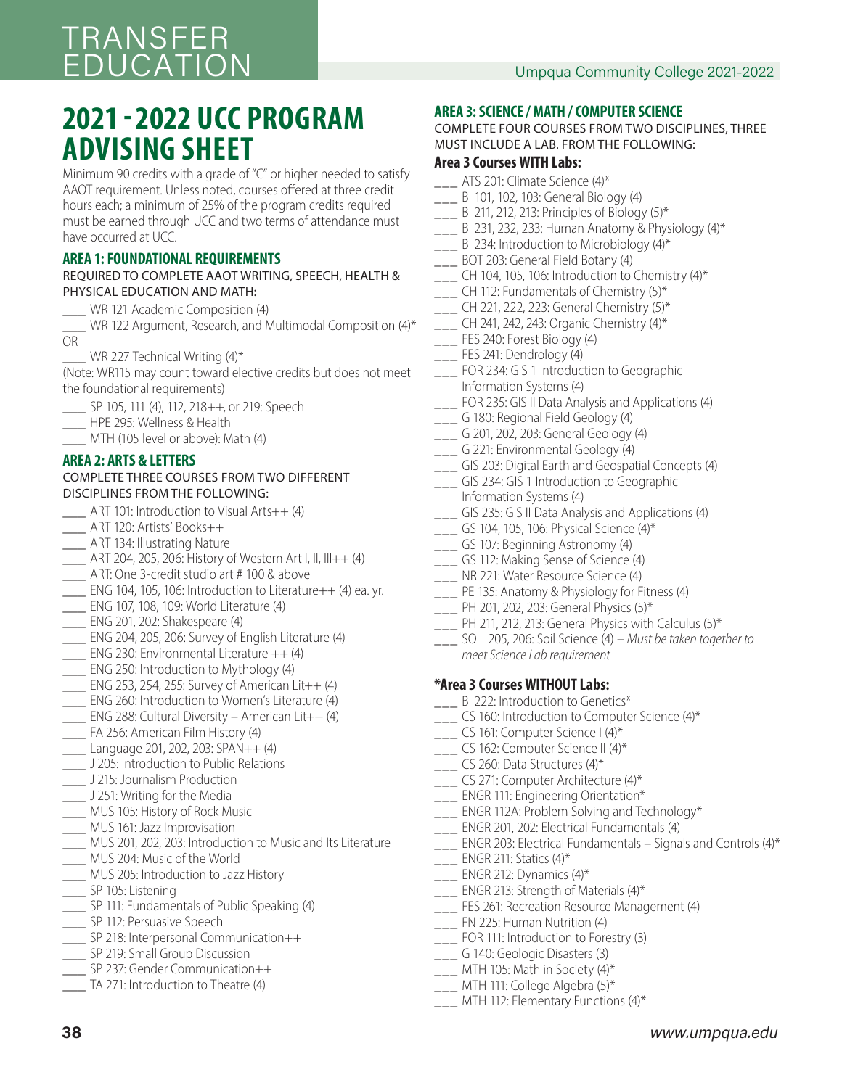## **2021 - 2022 UCC PROGRAM ADVISING SHEET**

Minimum 90 credits with a grade of "C" or higher needed to satisfy AAOT requirement. Unless noted, courses offered at three credit hours each; a minimum of 25% of the program credits required must be earned through UCC and two terms of attendance must have occurred at UCC.

#### **AREA 1: FOUNDATIONAL REQUIREMENTS**

#### REQUIRED TO COMPLETE AAOT WRITING, SPEECH, HEALTH & PHYSICAL EDUCATION AND MATH:

- WR 121 Academic Composition (4)
- WR 122 Argument, Research, and Multimodal Composition (4)\* OR
- WR 227 Technical Writing  $(4)^*$

(Note: WR115 may count toward elective credits but does not meet the foundational requirements)

- \_\_\_ SP 105, 111 (4), 112, 218++, or 219: Speech
- \_\_\_ HPE 295: Wellness & Health
- \_\_\_ MTH (105 level or above): Math (4)

#### **AREA 2: ARTS & LETTERS**

#### COMPLETE THREE COURSES FROM TWO DIFFERENT DISCIPLINES FROM THE FOLLOWING:

- \_\_\_ ART 101: Introduction to Visual Arts++ (4)
- \_\_\_ ART 120: Artists' Books++
- **\_\_\_ ART 134: Illustrating Nature**
- \_\_\_ ART 204, 205, 206: History of Western Art I, II, III++ (4)
- \_\_\_ ART: One 3-credit studio art # 100 & above
- $\Box$  ENG 104, 105, 106: Introduction to Literature $++$  (4) ea. yr.
- \_\_\_ ENG 107, 108, 109: World Literature (4)
- \_\_\_ ENG 201, 202: Shakespeare (4)
- \_\_\_ ENG 204, 205, 206: Survey of English Literature (4)
- $\frac{1}{2}$  ENG 230: Environmental Literature  $++$  (4)
- \_\_\_ ENG 250: Introduction to Mythology (4)
- $_{\_--\_}$  ENG 253, 254, 255: Survey of American Lit++ (4)
- \_\_\_ ENG 260: Introduction to Women's Literature (4)
- \_\_\_ ENG 288: Cultural Diversity American Lit++ (4)
- \_\_\_ FA 256: American Film History (4)
- \_\_\_ Language 201, 202, 203: SPAN++ (4)
- **\_\_\_** J 205: Introduction to Public Relations
- **\_\_\_** J 215: Journalism Production
- \_\_\_ J 251: Writing for the Media
- \_\_\_ MUS 105: History of Rock Music
- \_\_\_ MUS 161: Jazz Improvisation
- \_\_\_ MUS 201, 202, 203: Introduction to Music and Its Literature
- \_\_\_ MUS 204: Music of the World
- \_\_\_ MUS 205: Introduction to Jazz History
- \_\_\_ SP 105: Listening
- \_\_\_ SP 111: Fundamentals of Public Speaking (4)
- \_\_\_ SP 112: Persuasive Speech
- \_\_\_ SP 218: Interpersonal Communication++
- SP 219: Small Group Discussion
- \_\_\_ SP 237: Gender Communication++
- TA 271: Introduction to Theatre (4)

#### **AREA 3: SCIENCE / MATH / COMPUTER SCIENCE**

COMPLETE FOUR COURSES FROM TWO DISCIPLINES, THREE MUST INCLUDE A LAB. FROM THE FOLLOWING:

#### **Area 3 Courses WITH Labs:**

- \_\_\_ ATS 201: Climate Science (4)\*
- \_\_\_ BI 101, 102, 103: General Biology (4)
- BI 211, 212, 213: Principles of Biology  $(5)^*$
- $\frac{1}{2}$  BI 231, 232, 233: Human Anatomy & Physiology (4)\*
- $\frac{1}{2}$  BI 234: Introduction to Microbiology (4)\*
- \_\_\_ BOT 203: General Field Botany (4)
- $\frac{1}{2}$  CH 104, 105, 106: Introduction to Chemistry (4)\*
- $\frac{1}{2}$  CH 112: Fundamentals of Chemistry (5)\*
- $_{\rm{---}}$  CH 221, 222, 223: General Chemistry (5)\*
- \_\_\_ CH 241, 242, 243: Organic Chemistry (4)\*
- \_\_\_ FES 240: Forest Biology (4)
- \_\_\_ FES 241: Dendrology (4)
- \_\_\_ FOR 234: GIS 1 Introduction to Geographic Information Systems (4)
- FOR 235: GIS II Data Analysis and Applications (4)
- \_\_\_ G 180: Regional Field Geology (4)
- \_\_\_ G 201, 202, 203: General Geology (4)
- \_\_\_ G 221: Environmental Geology (4)
- \_\_\_ GIS 203: Digital Earth and Geospatial Concepts (4)
- **\_\_\_** GIS 234: GIS 1 Introduction to Geographic
- Information Systems (4)
- \_\_\_ GIS 235: GIS II Data Analysis and Applications (4)
- $\frac{1}{2}$  GS 104, 105, 106: Physical Science (4)\*
- \_\_\_ GS 107: Beginning Astronomy (4)
- \_\_\_ GS 112: Making Sense of Science (4)
- \_\_\_ NR 221: Water Resource Science (4)
- **\_\_\_** PE 135: Anatomy & Physiology for Fitness (4)
- $\frac{1}{2}$  PH 201, 202, 203: General Physics (5)\*
- $\frac{1}{2}$  PH 211, 212, 213: General Physics with Calculus (5)\*
- \_\_\_ SOIL 205, 206: Soil Science (4) Must be taken together to meet Science Lab requirement

#### **\*Area 3 Courses WITHOUT Labs:**

- BI 222: Introduction to Genetics\*
- \_\_\_ CS 160: Introduction to Computer Science (4)\*
- \_\_\_ CS 161: Computer Science I (4)\*
- \_\_\_ CS 162: Computer Science II (4)\*
- $\frac{1}{2}$  CS 260: Data Structures (4)\*
- \_\_\_ CS 271: Computer Architecture (4)\*
- ENGR 111: Engineering Orientation\*
- $\frac{1}{2}$  ENGR 112A: Problem Solving and Technology\*
- \_\_\_ ENGR 201, 202: Electrical Fundamentals (4)
- $\frac{1}{2}$  ENGR 203: Electrical Fundamentals Signals and Controls (4)\*
- $\frac{1}{2}$  ENGR 211: Statics (4)\*
- $\frac{1}{2}$  ENGR 212: Dynamics (4)\*
- \_\_\_ ENGR 213: Strength of Materials (4)\*
- \_\_\_ FES 261: Recreation Resource Management (4)
- \_\_\_ FN 225: Human Nutrition (4)
- \_\_\_ FOR 111: Introduction to Forestry (3)
- \_\_\_ G 140: Geologic Disasters (3)
- $\frac{1}{2}$  MTH 105: Math in Society (4)\*
- \_\_\_ MTH 111: College Algebra (5)\*
- \_\_\_ MTH 112: Elementary Functions (4)\*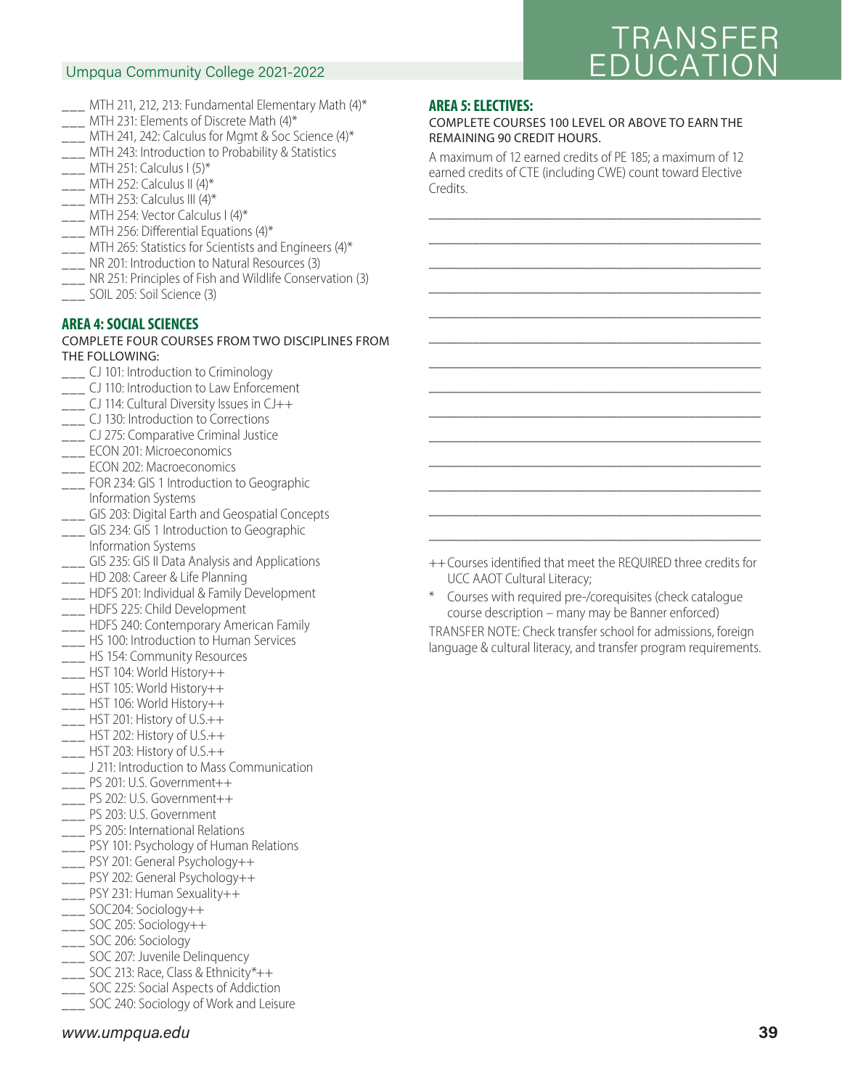## Umpqua Community College 2021-2022

# **TRANSFE** EDUCATION<br>EDUCATION

- $\frac{1}{2}$  MTH 211, 212, 213: Fundamental Elementary Math (4)\*
- \_\_\_ MTH 231: Elements of Discrete Math (4)\*
- $\frac{1}{2}$  MTH 241, 242: Calculus for Mgmt & Soc Science (4)\*
- \_\_\_ MTH 243: Introduction to Probability & Statistics
- $\frac{1}{2}$  MTH 251: Calculus I (5)\*
- MTH 252: Calculus II (4)\*
- $\frac{1}{2}$  MTH 253: Calculus III (4)\*
- \_\_\_ MTH 254: Vector Calculus I (4)\*
- $\frac{1}{2}$  MTH 256: Differential Equations (4)\*
- $\frac{1}{2}$  MTH 265: Statistics for Scientists and Engineers (4)\*
- \_\_\_ NR 201: Introduction to Natural Resources (3)
- \_\_\_ NR 251: Principles of Fish and Wildlife Conservation (3)
- \_\_\_ SOIL 205: Soil Science (3)

#### **AREA 4: SOCIAL SCIENCES**

#### COMPLETE FOUR COURSES FROM TWO DISCIPLINES FROM THE FOLLOWING:

- \_\_\_ CJ 101: Introduction to Criminology
- **\_\_\_** CJ 110: Introduction to Law Enforcement
- \_\_\_ CJ 114: Cultural Diversity Issues in CJ++
- \_\_\_ CJ 130: Introduction to Corrections
- **\_\_\_** CJ 275: Comparative Criminal Justice
- \_\_\_ ECON 201: Microeconomics
- \_\_\_ ECON 202: Macroeconomics
- \_\_\_ FOR 234: GIS 1 Introduction to Geographic Information Systems
- \_\_ GIS 203: Digital Earth and Geospatial Concepts
- **\_\_\_** GIS 234: GIS 1 Introduction to Geographic
- Information Systems \_\_ GIS 235: GIS II Data Analysis and Applications
- \_\_\_ HD 208: Career & Life Planning
- \_\_\_ HDFS 201: Individual & Family Development
- \_\_\_ HDFS 225: Child Development
- \_\_\_ HDFS 240: Contemporary American Family
- **\_\_\_** HS 100: Introduction to Human Services
- **\_\_\_ HS 154: Community Resources**
- \_\_\_ HST 104: World History++
- $\overline{\phantom{0}}$  HST 105: World History++
- \_\_\_ HST 106: World History++
- $\frac{1}{1}$  HST 201: History of U.S.++
- \_\_\_ HST 202: History of U.S.++
- \_\_\_ HST 203: History of U.S.++
- \_\_\_ J 211: Introduction to Mass Communication
- \_\_\_ PS 201: U.S. Government++
- \_\_\_ PS 202: U.S. Government++
- \_\_\_ PS 203: U.S. Government
- **\_\_\_ PS 205: International Relations**
- **\_\_\_** PSY 101: Psychology of Human Relations
- \_\_\_ PSY 201: General Psychology++
- \_\_\_ PSY 202: General Psychology++
- $\frac{1}{2}$  PSY 231: Human Sexuality++
- \_\_\_ SOC204: Sociology++
- \_\_\_ SOC 205: Sociology++
- \_\_\_ SOC 206: Sociology
- \_\_\_ SOC 207: Juvenile Delinquency
- \_\_\_ SOC 213: Race, Class & Ethnicity\*++
- \_\_\_ SOC 225: Social Aspects of Addiction
- \_\_\_ SOC 240: Sociology of Work and Leisure

### **AREA 5: ELECTIVES:**

#### COMPLETE COURSES 100 LEVEL OR ABOVE TO EARN THE REMAINING 90 CREDIT HOURS.

A maximum of 12 earned credits of PE 185; a maximum of 12 earned credits of CTE (including CWE) count toward Elective Credits.

\_\_\_\_\_\_\_\_\_\_\_\_\_\_\_\_\_\_\_\_\_\_\_\_\_\_\_\_\_\_\_\_\_\_\_\_\_\_\_\_\_\_\_\_\_\_ \_\_\_\_\_\_\_\_\_\_\_\_\_\_\_\_\_\_\_\_\_\_\_\_\_\_\_\_\_\_\_\_\_\_\_\_\_\_\_\_\_\_\_\_\_\_ \_\_\_\_\_\_\_\_\_\_\_\_\_\_\_\_\_\_\_\_\_\_\_\_\_\_\_\_\_\_\_\_\_\_\_\_\_\_\_\_\_\_\_\_\_\_ \_\_\_\_\_\_\_\_\_\_\_\_\_\_\_\_\_\_\_\_\_\_\_\_\_\_\_\_\_\_\_\_\_\_\_\_\_\_\_\_\_\_\_\_\_\_ \_\_\_\_\_\_\_\_\_\_\_\_\_\_\_\_\_\_\_\_\_\_\_\_\_\_\_\_\_\_\_\_\_\_\_\_\_\_\_\_\_\_\_\_\_\_ \_\_\_\_\_\_\_\_\_\_\_\_\_\_\_\_\_\_\_\_\_\_\_\_\_\_\_\_\_\_\_\_\_\_\_\_\_\_\_\_\_\_\_\_\_\_ \_\_\_\_\_\_\_\_\_\_\_\_\_\_\_\_\_\_\_\_\_\_\_\_\_\_\_\_\_\_\_\_\_\_\_\_\_\_\_\_\_\_\_\_\_\_ \_\_\_\_\_\_\_\_\_\_\_\_\_\_\_\_\_\_\_\_\_\_\_\_\_\_\_\_\_\_\_\_\_\_\_\_\_\_\_\_\_\_\_\_\_\_ \_\_\_\_\_\_\_\_\_\_\_\_\_\_\_\_\_\_\_\_\_\_\_\_\_\_\_\_\_\_\_\_\_\_\_\_\_\_\_\_\_\_\_\_\_\_ \_\_\_\_\_\_\_\_\_\_\_\_\_\_\_\_\_\_\_\_\_\_\_\_\_\_\_\_\_\_\_\_\_\_\_\_\_\_\_\_\_\_\_\_\_\_ \_\_\_\_\_\_\_\_\_\_\_\_\_\_\_\_\_\_\_\_\_\_\_\_\_\_\_\_\_\_\_\_\_\_\_\_\_\_\_\_\_\_\_\_\_\_ \_\_\_\_\_\_\_\_\_\_\_\_\_\_\_\_\_\_\_\_\_\_\_\_\_\_\_\_\_\_\_\_\_\_\_\_\_\_\_\_\_\_\_\_\_\_ \_\_\_\_\_\_\_\_\_\_\_\_\_\_\_\_\_\_\_\_\_\_\_\_\_\_\_\_\_\_\_\_\_\_\_\_\_\_\_\_\_\_\_\_\_\_ \_\_\_\_\_\_\_\_\_\_\_\_\_\_\_\_\_\_\_\_\_\_\_\_\_\_\_\_\_\_\_\_\_\_\_\_\_\_\_\_\_\_\_\_\_\_

++ Courses identified that meet the REQUIRED three credits for UCC AAOT Cultural Literacy;

Courses with required pre-/corequisites (check catalogue course description – many may be Banner enforced)

TRANSFER NOTE: Check transfer school for admissions, foreign language & cultural literacy, and transfer program requirements.

*www.umpqua.edu* **39**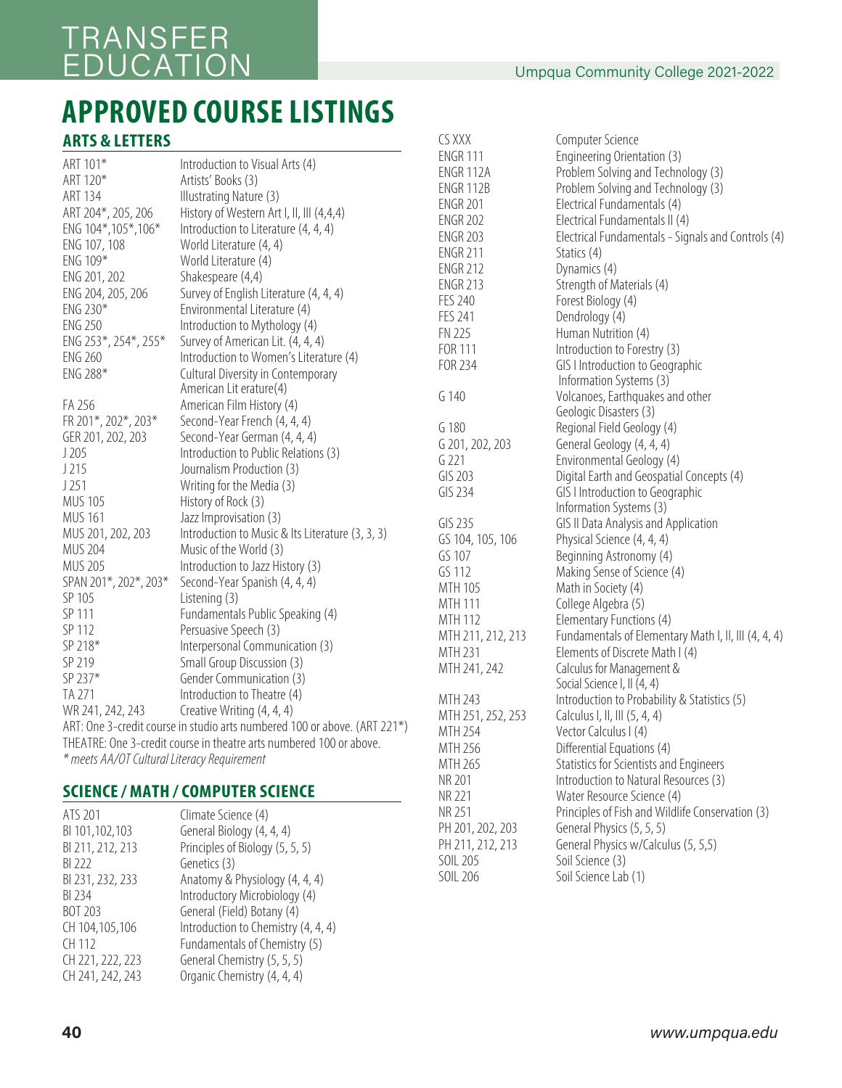## $U_{\rm p}$ qua community congression  $U_{\rm p}$ TRANSFER

## EDUCATION CALL **APPROVED COURSE LISTINGS**

## **ARTS & LETTERS**

| ART 101*                                    | Introduction to Visual Arts (4)                                           |
|---------------------------------------------|---------------------------------------------------------------------------|
| ART 120*                                    | Artists' Books (3)                                                        |
| <b>ART 134</b>                              | Illustrating Nature (3)                                                   |
| ART 204*, 205, 206                          | History of Western Art I, II, III (4,4,4)                                 |
| ENG 104*, 105*, 106*                        | Introduction to Literature (4, 4, 4)                                      |
| ENG 107, 108                                | World Literature (4, 4)                                                   |
| ENG 109*                                    | World Literature (4)                                                      |
| ENG 201, 202                                | Shakespeare (4,4)                                                         |
| ENG 204, 205, 206                           | Survey of English Literature (4, 4, 4)                                    |
| ENG 230*                                    | Environmental Literature (4)                                              |
| <b>ENG 250</b>                              | Introduction to Mythology (4)                                             |
| ENG 253*, 254*, 255*                        | Survey of American Lit. (4, 4, 4)                                         |
| <b>ENG 260</b>                              | Introduction to Women's Literature (4)                                    |
| ENG 288*                                    | Cultural Diversity in Contemporary                                        |
|                                             | American Lit erature(4)                                                   |
| FA 256                                      | American Film History (4)                                                 |
| FR 201*, 202*, 203*                         | Second-Year French (4, 4, 4)                                              |
| GER 201, 202, 203                           | Second-Year German (4, 4, 4)                                              |
| J205                                        | Introduction to Public Relations (3)                                      |
| J215                                        | Journalism Production (3)                                                 |
| J251                                        | Writing for the Media (3)                                                 |
| <b>MUS 105</b>                              | History of Rock (3)                                                       |
| <b>MUS 161</b>                              | Jazz Improvisation (3)                                                    |
| MUS 201, 202, 203                           | Introduction to Music & Its Literature (3, 3, 3)                          |
| <b>MUS 204</b>                              | Music of the World (3)                                                    |
| <b>MUS 205</b>                              | Introduction to Jazz History (3)                                          |
| SPAN 201*, 202*, 203*                       | Second-Year Spanish (4, 4, 4)                                             |
| SP 105                                      | Listening (3)                                                             |
| SP 111                                      | Fundamentals Public Speaking (4)                                          |
| SP 112                                      | Persuasive Speech (3)                                                     |
| SP 218*                                     | Interpersonal Communication (3)                                           |
| SP 219                                      | Small Group Discussion (3)                                                |
| SP 237*                                     | Gender Communication (3)                                                  |
| TA 271                                      | Introduction to Theatre (4)                                               |
| WR 241, 242, 243                            | Creative Writing (4, 4, 4)                                                |
|                                             | ART: One 3-credit course in studio arts numbered 100 or above. (ART 221*) |
|                                             | THEATRE: One 3-credit course in theatre arts numbered 100 or above.       |
| * meets AA/OT Cultural Literacy Requirement |                                                                           |
|                                             |                                                                           |

### **SCIENCE / MATH / COMPUTER SCIENCE**

| ATS 201          | Climate Science (4)                 |
|------------------|-------------------------------------|
| BI 101,102,103   | General Biology (4, 4, 4)           |
| BI 211, 212, 213 | Principles of Biology (5, 5, 5)     |
| BI 222           | Genetics (3)                        |
| BI 231, 232, 233 | Anatomy & Physiology (4, 4, 4)      |
| BI 234           | Introductory Microbiology (4)       |
| BOT 203          | General (Field) Botany (4)          |
| CH 104,105,106   | Introduction to Chemistry (4, 4, 4) |
| CH 112           | Fundamentals of Chemistry (5)       |
|                  |                                     |
| CH 221, 222, 223 | General Chemistry (5, 5, 5)         |
| CH 241, 242, 243 | Organic Chemistry (4, 4, 4)         |
|                  |                                     |

| CS XXX            | Computer Science                                     |
|-------------------|------------------------------------------------------|
| <b>ENGR 111</b>   | Engineering Orientation (3)                          |
| ENGR 112A         | Problem Solving and Technology (3)                   |
| <b>ENGR 112B</b>  | Problem Solving and Technology (3)                   |
| <b>ENGR 201</b>   | Electrical Fundamentals (4)                          |
| <b>ENGR 202</b>   | Electrical Fundamentals II (4)                       |
| <b>ENGR 203</b>   | Electrical Fundamentals - Signals and Controls (4)   |
| <b>ENGR 211</b>   | Statics (4)                                          |
| <b>ENGR 212</b>   | Dynamics (4)                                         |
| <b>ENGR 213</b>   | Strength of Materials (4)                            |
| <b>FES 240</b>    | Forest Biology (4)                                   |
| <b>FES 241</b>    | Dendrology (4)                                       |
| <b>FN 225</b>     | Human Nutrition (4)                                  |
| FOR 111           | Introduction to Forestry (3)                         |
| FOR 234           | GIS I Introduction to Geographic                     |
|                   | Information Systems (3)                              |
| G 140             | Volcanoes, Earthquakes and other                     |
|                   | Geologic Disasters (3)                               |
| G 180             | Regional Field Geology (4)                           |
| G 201, 202, 203   | General Geology (4, 4, 4)                            |
| G221              | Environmental Geology (4)                            |
| GIS 203           | Digital Earth and Geospatial Concepts (4)            |
| GIS 234           | GIS I Introduction to Geographic                     |
|                   | Information Systems (3)                              |
| GIS 235           | GIS II Data Analysis and Application                 |
| GS 104, 105, 106  | Physical Science (4, 4, 4)                           |
| GS 107            | Beginning Astronomy (4)                              |
| GS 112            | Making Sense of Science (4)                          |
| MTH 105           | Math in Society (4)                                  |
| <b>MTH 111</b>    | College Algebra (5)                                  |
| MTH 112           | Elementary Functions (4)                             |
| MTH 211, 212, 213 | Fundamentals of Elementary Math I, II, III (4, 4, 4) |
| MTH 231           | Elements of Discrete Math I (4)                      |
| MTH 241, 242      | Calculus for Management &                            |
|                   | Social Science I, II (4, 4)                          |
| MTH 243           | Introduction to Probability & Statistics (5)         |
| MTH 251, 252, 253 | Calculus I, II, III (5, 4, 4)                        |
| MTH 254           | Vector Calculus I (4)                                |
| MTH 256           | Differential Equations (4)                           |
| MTH 265           | Statistics for Scientists and Engineers              |
| NR 201            | Introduction to Natural Resources (3)                |
| NR 221            | Water Resource Science (4)                           |
| <b>NR 251</b>     | Principles of Fish and Wildlife Conservation (3)     |
| PH 201, 202, 203  | General Physics (5, 5, 5)                            |
| PH 211, 212, 213  | General Physics w/Calculus (5, 5,5)                  |
| SOIL 205          | Soil Science (3)                                     |
| <b>SOIL 206</b>   | Soil Science Lab (1)                                 |